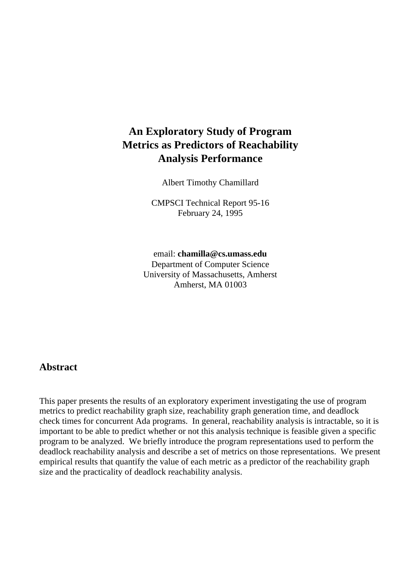# **An Exploratory Study of Program Metrics as Predictors of Reachability Analysis Performance**

Albert Timothy Chamillard

CMPSCI Technical Report 95-16 February 24, 1995

email: **chamilla@cs.umass.edu** Department of Computer Science University of Massachusetts, Amherst Amherst, MA 01003

# **Abstract**

This paper presents the results of an exploratory experiment investigating the use of program metrics to predict reachability graph size, reachability graph generation time, and deadlock check times for concurrent Ada programs. In general, reachability analysis is intractable, so it is important to be able to predict whether or not this analysis technique is feasible given a specific program to be analyzed. We briefly introduce the program representations used to perform the deadlock reachability analysis and describe a set of metrics on those representations. We present empirical results that quantify the value of each metric as a predictor of the reachability graph size and the practicality of deadlock reachability analysis.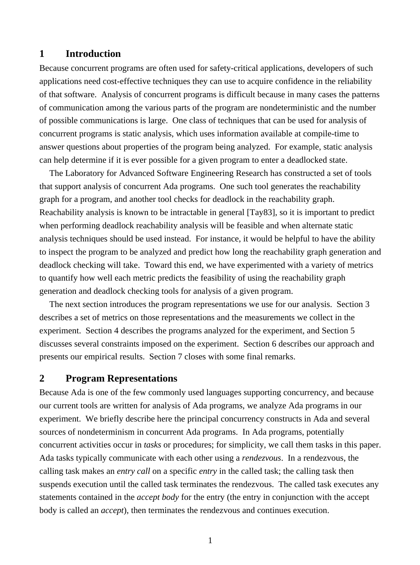## **1 Introduction**

Because concurrent programs are often used for safety-critical applications, developers of such applications need cost-effective techniques they can use to acquire confidence in the reliability of that software. Analysis of concurrent programs is difficult because in many cases the patterns of communication among the various parts of the program are nondeterministic and the number of possible communications is large. One class of techniques that can be used for analysis of concurrent programs is static analysis, which uses information available at compile-time to answer questions about properties of the program being analyzed. For example, static analysis can help determine if it is ever possible for a given program to enter a deadlocked state.

The Laboratory for Advanced Software Engineering Research has constructed a set of tools that support analysis of concurrent Ada programs. One such tool generates the reachability graph for a program, and another tool checks for deadlock in the reachability graph. Reachability analysis is known to be intractable in general [Tay83], so it is important to predict when performing deadlock reachability analysis will be feasible and when alternate static analysis techniques should be used instead. For instance, it would be helpful to have the ability to inspect the program to be analyzed and predict how long the reachability graph generation and deadlock checking will take. Toward this end, we have experimented with a variety of metrics to quantify how well each metric predicts the feasibility of using the reachability graph generation and deadlock checking tools for analysis of a given program.

The next section introduces the program representations we use for our analysis. Section 3 describes a set of metrics on those representations and the measurements we collect in the experiment. Section 4 describes the programs analyzed for the experiment, and Section 5 discusses several constraints imposed on the experiment. Section 6 describes our approach and presents our empirical results. Section 7 closes with some final remarks.

### **2 Program Representations**

Because Ada is one of the few commonly used languages supporting concurrency, and because our current tools are written for analysis of Ada programs, we analyze Ada programs in our experiment. We briefly describe here the principal concurrency constructs in Ada and several sources of nondeterminism in concurrent Ada programs. In Ada programs, potentially concurrent activities occur in *tasks* or procedures; for simplicity, we call them tasks in this paper. Ada tasks typically communicate with each other using a *rendezvous*. In a rendezvous, the calling task makes an *entry call* on a specific *entry* in the called task; the calling task then suspends execution until the called task terminates the rendezvous. The called task executes any statements contained in the *accept body* for the entry (the entry in conjunction with the accept body is called an *accept*), then terminates the rendezvous and continues execution.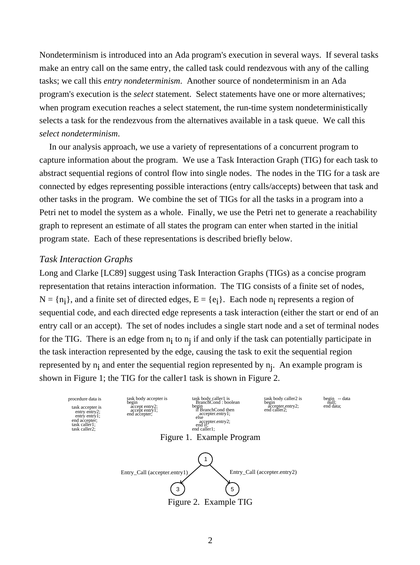Nondeterminism is introduced into an Ada program's execution in several ways. If several tasks make an entry call on the same entry, the called task could rendezvous with any of the calling tasks; we call this *entry nondeterminism*. Another source of nondeterminism in an Ada program's execution is the *select* statement. Select statements have one or more alternatives; when program execution reaches a select statement, the run-time system nondeterministically selects a task for the rendezvous from the alternatives available in a task queue. We call this *select nondeterminism*.

 In our analysis approach, we use a variety of representations of a concurrent program to capture information about the program. We use a Task Interaction Graph (TIG) for each task to abstract sequential regions of control flow into single nodes. The nodes in the TIG for a task are connected by edges representing possible interactions (entry calls/accepts) between that task and other tasks in the program. We combine the set of TIGs for all the tasks in a program into a Petri net to model the system as a whole. Finally, we use the Petri net to generate a reachability graph to represent an estimate of all states the program can enter when started in the initial program state. Each of these representations is described briefly below.

#### *Task Interaction Graphs*

Long and Clarke [LC89] suggest using Task Interaction Graphs (TIGs) as a concise program representation that retains interaction information. The TIG consists of a finite set of nodes,  $N = \{n_i\}$ , and a finite set of directed edges,  $E = \{e_i\}$ . Each node  $n_i$  represents a region of sequential code, and each directed edge represents a task interaction (either the start or end of an entry call or an accept). The set of nodes includes a single start node and a set of terminal nodes for the TIG. There is an edge from  $n_i$  to  $n_i$  if and only if the task can potentially participate in the task interaction represented by the edge, causing the task to exit the sequential region represented by  $n_i$  and enter the sequential region represented by  $n_i$ . An example program is shown in Figure 1; the TIG for the caller1 task is shown in Figure 2.

begin -- data null; end data;

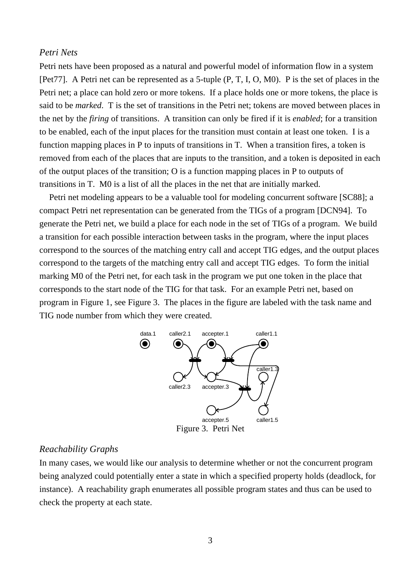### *Petri Nets*

Petri nets have been proposed as a natural and powerful model of information flow in a system [Pet77]. A Petri net can be represented as a 5-tuple (P, T, I, O, M0). P is the set of places in the Petri net; a place can hold zero or more tokens. If a place holds one or more tokens, the place is said to be *marked*. T is the set of transitions in the Petri net; tokens are moved between places in the net by the *firing* of transitions. A transition can only be fired if it is *enabled*; for a transition to be enabled, each of the input places for the transition must contain at least one token. I is a function mapping places in P to inputs of transitions in T. When a transition fires, a token is removed from each of the places that are inputs to the transition, and a token is deposited in each of the output places of the transition; O is a function mapping places in P to outputs of transitions in T. M0 is a list of all the places in the net that are initially marked.

Petri net modeling appears to be a valuable tool for modeling concurrent software [SC88]; a compact Petri net representation can be generated from the TIGs of a program [DCN94]. To generate the Petri net, we build a place for each node in the set of TIGs of a program. We build a transition for each possible interaction between tasks in the program, where the input places correspond to the sources of the matching entry call and accept TIG edges, and the output places correspond to the targets of the matching entry call and accept TIG edges. To form the initial marking M0 of the Petri net, for each task in the program we put one token in the place that corresponds to the start node of the TIG for that task. For an example Petri net, based on program in Figure 1, see Figure 3. The places in the figure are labeled with the task name and TIG node number from which they were created.



#### *Reachability Graphs*

In many cases, we would like our analysis to determine whether or not the concurrent program being analyzed could potentially enter a state in which a specified property holds (deadlock, for instance). A reachability graph enumerates all possible program states and thus can be used to check the property at each state.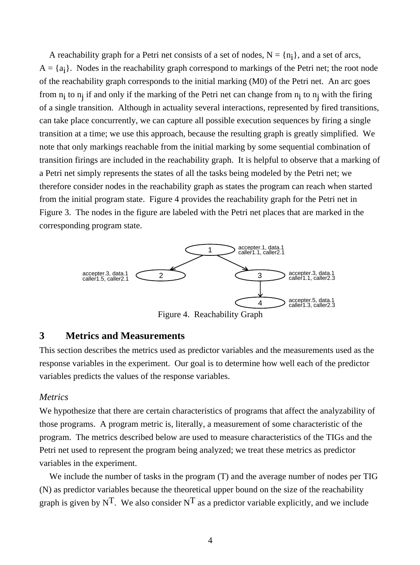A reachability graph for a Petri net consists of a set of nodes,  $N = \{n_i\}$ , and a set of arcs,  $A = \{a_i\}$ . Nodes in the reachability graph correspond to markings of the Petri net; the root node of the reachability graph corresponds to the initial marking (M0) of the Petri net. An arc goes from  $n_i$  to  $n_i$  if and only if the marking of the Petri net can change from  $n_i$  to  $n_i$  with the firing of a single transition. Although in actuality several interactions, represented by fired transitions, can take place concurrently, we can capture all possible execution sequences by firing a single transition at a time; we use this approach, because the resulting graph is greatly simplified. We note that only markings reachable from the initial marking by some sequential combination of transition firings are included in the reachability graph. It is helpful to observe that a marking of a Petri net simply represents the states of all the tasks being modeled by the Petri net; we therefore consider nodes in the reachability graph as states the program can reach when started from the initial program state. Figure 4 provides the reachability graph for the Petri net in Figure 3. The nodes in the figure are labeled with the Petri net places that are marked in the corresponding program state.



Figure 4. Reachability Graph

## **3 Metrics and Measurements**

This section describes the metrics used as predictor variables and the measurements used as the response variables in the experiment. Our goal is to determine how well each of the predictor variables predicts the values of the response variables.

### *Metrics*

We hypothesize that there are certain characteristics of programs that affect the analyzability of those programs. A program metric is, literally, a measurement of some characteristic of the program. The metrics described below are used to measure characteristics of the TIGs and the Petri net used to represent the program being analyzed; we treat these metrics as predictor variables in the experiment.

We include the number of tasks in the program (T) and the average number of nodes per TIG (N) as predictor variables because the theoretical upper bound on the size of the reachability graph is given by  $N^T$ . We also consider  $N^T$  as a predictor variable explicitly, and we include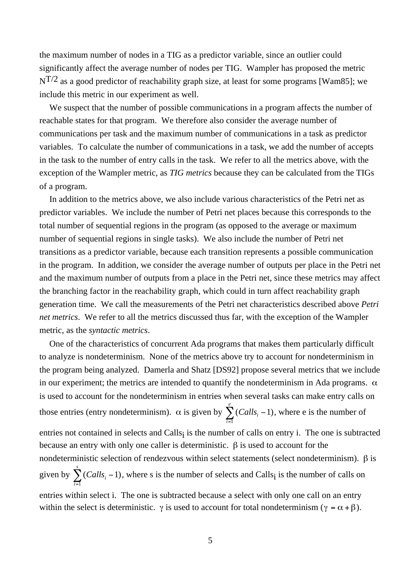the maximum number of nodes in a TIG as a predictor variable, since an outlier could significantly affect the average number of nodes per TIG. Wampler has proposed the metric  $N^{T/2}$  as a good predictor of reachability graph size, at least for some programs [Wam85]; we include this metric in our experiment as well.

We suspect that the number of possible communications in a program affects the number of reachable states for that program. We therefore also consider the average number of communications per task and the maximum number of communications in a task as predictor variables. To calculate the number of communications in a task, we add the number of accepts in the task to the number of entry calls in the task. We refer to all the metrics above, with the exception of the Wampler metric, as *TIG metrics* because they can be calculated from the TIGs of a program.

In addition to the metrics above, we also include various characteristics of the Petri net as predictor variables. We include the number of Petri net places because this corresponds to the total number of sequential regions in the program (as opposed to the average or maximum number of sequential regions in single tasks). We also include the number of Petri net transitions as a predictor variable, because each transition represents a possible communication in the program. In addition, we consider the average number of outputs per place in the Petri net and the maximum number of outputs from a place in the Petri net, since these metrics may affect the branching factor in the reachability graph, which could in turn affect reachability graph generation time. We call the measurements of the Petri net characteristics described above *Petri net metrics*. We refer to all the metrics discussed thus far, with the exception of the Wampler metric, as the *syntactic metrics*.

One of the characteristics of concurrent Ada programs that makes them particularly difficult to analyze is nondeterminism. None of the metrics above try to account for nondeterminism in the program being analyzed. Damerla and Shatz [DS92] propose several metrics that we include in our experiment; the metrics are intended to quantify the nondeterminism in Ada programs.  $\alpha$ is used to account for the nondeterminism in entries when several tasks can make entry calls on those entries (entry nondeterminism).  $\alpha$  is given by  $\sum (Calls_i - 1)$ *i e* −  $\sum_{i=1}^{\infty}$  (Calls<sub>i</sub> – 1) , where e is the number of

entries not contained in selects and Calls<sub>i</sub> is the number of calls on entry i. The one is subtracted because an entry with only one caller is deterministic.  $\beta$  is used to account for the nondeterministic selection of rendezvous within select statements (select nondeterminism).  $β$  is given by  $\sum (Calls_i - 1)$ *i s* −  $\sum_{i=1}^{\infty}$  (*Calls<sub>i</sub>* – 1), where s is the number of selects and Calls<sub>i</sub> is the number of calls on entries within select i. The one is subtracted because a select with only one call on an entry

within the select is deterministic.  $\gamma$  is used to account for total nondeterminism ( $\gamma = \alpha + \beta$ ).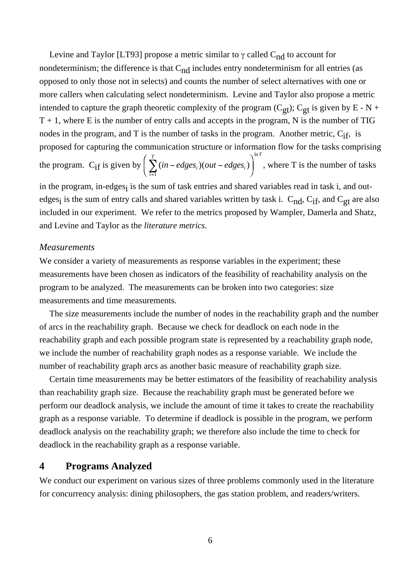Levine and Taylor [LT93] propose a metric similar to  $\gamma$  called C<sub>nd</sub> to account for nondeterminism; the difference is that  $C_{nd}$  includes entry nondeterminism for all entries (as opposed to only those not in selects) and counts the number of select alternatives with one or more callers when calculating select nondeterminism. Levine and Taylor also propose a metric intended to capture the graph theoretic complexity of the program  $(C_{gt})$ ;  $C_{gt}$  is given by E - N +  $T + 1$ , where E is the number of entry calls and accepts in the program, N is the number of TIG nodes in the program, and T is the number of tasks in the program. Another metric,  $C_{if}$ , is proposed for capturing the communication structure or information flow for the tasks comprising the program. C<sub>if</sub> is given by  $\sum (in-edges_i)(out-edges_i)$ ln *in – edges<sub>i</sub>*)(*out – edges<sub>i</sub> i*  $\left(\sum_{i=1}^{T} (in - edges_i)(out - edges_i)\right)^{ln T}$  $\overline{\mathcal{C}}$  $\Big($  $\overline{\phantom{a}}$  $\sum_{i=1}^{I} (in-edges_i)(out-edges_i)$ , where T is the number of tasks

in the program, in-edges; is the sum of task entries and shared variables read in task i, and outedges<sub>i</sub> is the sum of entry calls and shared variables written by task i.  $C_{nd}$ ,  $C_{if}$ , and  $C_{gt}$  are also included in our experiment. We refer to the metrics proposed by Wampler, Damerla and Shatz, and Levine and Taylor as the *literature metrics*.

#### *Measurements*

We consider a variety of measurements as response variables in the experiment; these measurements have been chosen as indicators of the feasibility of reachability analysis on the program to be analyzed. The measurements can be broken into two categories: size measurements and time measurements.

The size measurements include the number of nodes in the reachability graph and the number of arcs in the reachability graph. Because we check for deadlock on each node in the reachability graph and each possible program state is represented by a reachability graph node, we include the number of reachability graph nodes as a response variable. We include the number of reachability graph arcs as another basic measure of reachability graph size.

Certain time measurements may be better estimators of the feasibility of reachability analysis than reachability graph size. Because the reachability graph must be generated before we perform our deadlock analysis, we include the amount of time it takes to create the reachability graph as a response variable. To determine if deadlock is possible in the program, we perform deadlock analysis on the reachability graph; we therefore also include the time to check for deadlock in the reachability graph as a response variable.

#### **4 Programs Analyzed**

We conduct our experiment on various sizes of three problems commonly used in the literature for concurrency analysis: dining philosophers, the gas station problem, and readers/writers.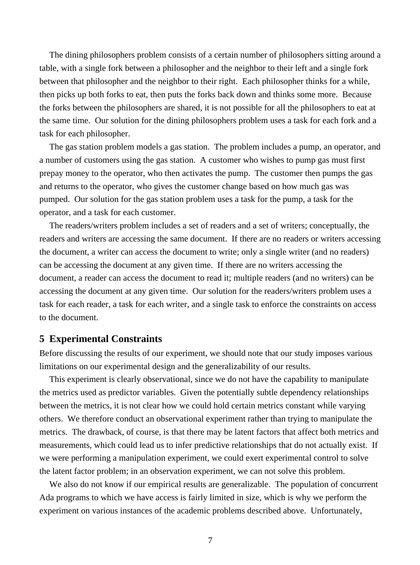The dining philosophers problem consists of a certain number of philosophers sitting around a table, with a single fork between a philosopher and the neighbor to their left and a single fork between that philosopher and the neighbor to their right. Each philosopher thinks for a while, then picks up both forks to eat, then puts the forks back down and thinks some more. Because the forks between the philosophers are shared, it is not possible for all the philosophers to eat at the same time. Our solution for the dining philosophers problem uses a task for each fork and a task for each philosopher.

The gas station problem models a gas station. The problem includes a pump, an operator, and a number of customers using the gas station. A customer who wishes to pump gas must first prepay money to the operator, who then activates the pump. The customer then pumps the gas and returns to the operator, who gives the customer change based on how much gas was pumped. Our solution for the gas station problem uses a task for the pump, a task for the operator, and a task for each customer.

The readers/writers problem includes a set of readers and a set of writers; conceptually, the readers and writers are accessing the same document. If there are no readers or writers accessing the document, a writer can access the document to write; only a single writer (and no readers) can be accessing the document at any given time. If there are no writers accessing the document, a reader can access the document to read it; multiple readers (and no writers) can be accessing the document at any given time. Our solution for the readers/writers problem uses a task for each reader, a task for each writer, and a single task to enforce the constraints on access to the document.

#### **5 Experimental Constraints**

Before discussing the results of our experiment, we should note that our study imposes various limitations on our experimental design and the generalizability of our results.

This experiment is clearly observational, since we do not have the capability to manipulate the metrics used as predictor variables. Given the potentially subtle dependency relationships between the metrics, it is not clear how we could hold certain metrics constant while varying others. We therefore conduct an observational experiment rather than trying to manipulate the metrics. The drawback, of course, is that there may be latent factors that affect both metrics and measurements, which could lead us to infer predictive relationships that do not actually exist. If we were performing a manipulation experiment, we could exert experimental control to solve the latent factor problem; in an observation experiment, we can not solve this problem.

We also do not know if our empirical results are generalizable. The population of concurrent Ada programs to which we have access is fairly limited in size, which is why we perform the experiment on various instances of the academic problems described above. Unfortunately,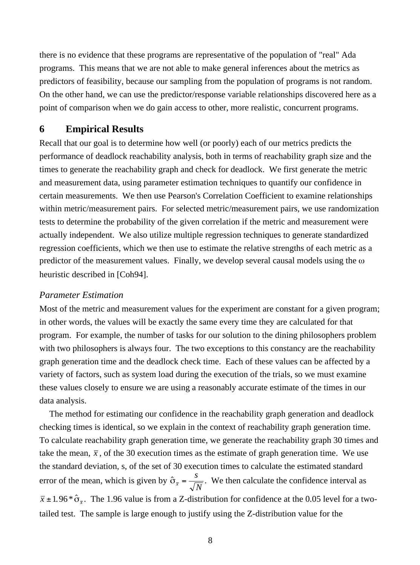there is no evidence that these programs are representative of the population of "real" Ada programs. This means that we are not able to make general inferences about the metrics as predictors of feasibility, because our sampling from the population of programs is not random. On the other hand, we can use the predictor/response variable relationships discovered here as a point of comparison when we do gain access to other, more realistic, concurrent programs.

# **6 Empirical Results**

Recall that our goal is to determine how well (or poorly) each of our metrics predicts the performance of deadlock reachability analysis, both in terms of reachability graph size and the times to generate the reachability graph and check for deadlock. We first generate the metric and measurement data, using parameter estimation techniques to quantify our confidence in certain measurements. We then use Pearson's Correlation Coefficient to examine relationships within metric/measurement pairs. For selected metric/measurement pairs, we use randomization tests to determine the probability of the given correlation if the metric and measurement were actually independent. We also utilize multiple regression techniques to generate standardized regression coefficients, which we then use to estimate the relative strengths of each metric as a predictor of the measurement values. Finally, we develop several causal models using the ω heuristic described in [Coh94].

### *Parameter Estimation*

Most of the metric and measurement values for the experiment are constant for a given program; in other words, the values will be exactly the same every time they are calculated for that program. For example, the number of tasks for our solution to the dining philosophers problem with two philosophers is always four. The two exceptions to this constancy are the reachability graph generation time and the deadlock check time. Each of these values can be affected by a variety of factors, such as system load during the execution of the trials, so we must examine these values closely to ensure we are using a reasonably accurate estimate of the times in our data analysis.

The method for estimating our confidence in the reachability graph generation and deadlock checking times is identical, so we explain in the context of reachability graph generation time. To calculate reachability graph generation time, we generate the reachability graph 30 times and take the mean,  $\bar{x}$ , of the 30 execution times as the estimate of graph generation time. We use the standard deviation, s, of the set of 30 execution times to calculate the estimated standard take the mean,  $\bar{x}$ , of the 30 execution ti<br>the standard deviation, s, of the set of 3<br>error of the mean, which is given by  $\hat{\sigma}_{\bar{x}}$  $=\frac{s}{\sqrt{N}}$ . We then calculate the confidence interval as the standard deviation, s, of the set of 30 execution times to calculate the estimated standard error of the mean, which is given by  $\hat{\sigma}_{\bar{x}} = \frac{s}{\sqrt{N}}$ . We then calculate the confidence interval as  $\bar{x} \pm 1.96 \times \hat{\sigma}_{\$ tailed test. The sample is large enough to justify using the Z-distribution value for the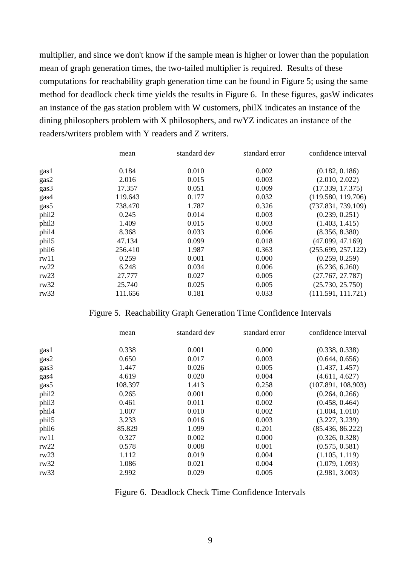multiplier, and since we don't know if the sample mean is higher or lower than the population mean of graph generation times, the two-tailed multiplier is required. Results of these computations for reachability graph generation time can be found in Figure 5; using the same method for deadlock check time yields the results in Figure 6. In these figures, gasW indicates an instance of the gas station problem with W customers, philX indicates an instance of the dining philosophers problem with X philosophers, and rwYZ indicates an instance of the readers/writers problem with Y readers and Z writers.

|                   | mean    | standard dev | standard error | confidence interval |
|-------------------|---------|--------------|----------------|---------------------|
| gas1              | 0.184   | 0.010        | 0.002          | (0.182, 0.186)      |
| gas2              | 2.016   | 0.015        | 0.003          | (2.010, 2.022)      |
| gas3              | 17.357  | 0.051        | 0.009          | (17.339, 17.375)    |
| gas4              | 119.643 | 0.177        | 0.032          | (119.580, 119.706)  |
| gas5              | 738.470 | 1.787        | 0.326          | (737.831, 739.109)  |
| phil2             | 0.245   | 0.014        | 0.003          | (0.239, 0.251)      |
| phil <sub>3</sub> | 1.409   | 0.015        | 0.003          | (1.403, 1.415)      |
| phil4             | 8.368   | 0.033        | 0.006          | (8.356, 8.380)      |
| phil <sub>5</sub> | 47.134  | 0.099        | 0.018          | (47.099, 47.169)    |
| phil <sub>6</sub> | 256.410 | 1.987        | 0.363          | (255.699, 257.122)  |
| rw11              | 0.259   | 0.001        | 0.000          | (0.259, 0.259)      |
| rw22              | 6.248   | 0.034        | 0.006          | (6.236, 6.260)      |
| rw23              | 27.777  | 0.027        | 0.005          | (27.767, 27.787)    |
| rw32              | 25.740  | 0.025        | 0.005          | (25.730, 25.750)    |
| rw33              | 111.656 | 0.181        | 0.033          | (111.591, 111.721)  |

#### Figure 5. Reachability Graph Generation Time Confidence Intervals

|                   | mean    | standard dev | standard error | confidence interval |
|-------------------|---------|--------------|----------------|---------------------|
| gas1              | 0.338   | 0.001        | 0.000          | (0.338, 0.338)      |
| gas2              | 0.650   | 0.017        | 0.003          | (0.644, 0.656)      |
| gas3              | 1.447   | 0.026        | 0.005          | (1.437, 1.457)      |
| gas4              | 4.619   | 0.020        | 0.004          | (4.611, 4.627)      |
| gas5              | 108.397 | 1.413        | 0.258          | (107.891, 108.903)  |
| phil2             | 0.265   | 0.001        | 0.000          | (0.264, 0.266)      |
| phil <sub>3</sub> | 0.461   | 0.011        | 0.002          | (0.458, 0.464)      |
| phil4             | 1.007   | 0.010        | 0.002          | (1.004, 1.010)      |
| phil <sub>5</sub> | 3.233   | 0.016        | 0.003          | (3.227, 3.239)      |
| phil6             | 85.829  | 1.099        | 0.201          | (85.436, 86.222)    |
| rw11              | 0.327   | 0.002        | 0.000          | (0.326, 0.328)      |
| rw22              | 0.578   | 0.008        | 0.001          | (0.575, 0.581)      |
| rw23              | 1.112   | 0.019        | 0.004          | (1.105, 1.119)      |
| rw32              | 1.086   | 0.021        | 0.004          | (1.079, 1.093)      |
| rw33              | 2.992   | 0.029        | 0.005          | (2.981, 3.003)      |

Figure 6. Deadlock Check Time Confidence Intervals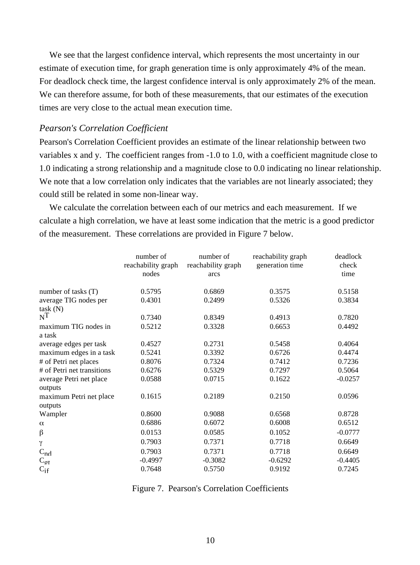We see that the largest confidence interval, which represents the most uncertainty in our estimate of execution time, for graph generation time is only approximately 4% of the mean. For deadlock check time, the largest confidence interval is only approximately 2% of the mean. We can therefore assume, for both of these measurements, that our estimates of the execution times are very close to the actual mean execution time.

### *Pearson's Correlation Coefficient*

Pearson's Correlation Coefficient provides an estimate of the linear relationship between two variables x and y. The coefficient ranges from -1.0 to 1.0, with a coefficient magnitude close to 1.0 indicating a strong relationship and a magnitude close to 0.0 indicating no linear relationship. We note that a low correlation only indicates that the variables are not linearly associated; they could still be related in some non-linear way.

We calculate the correlation between each of our metrics and each measurement. If we calculate a high correlation, we have at least some indication that the metric is a good predictor of the measurement. These correlations are provided in Figure 7 below.

|                            | number of<br>reachability graph<br>nodes | number of<br>reachability graph<br>arcs | reachability graph<br>generation time | deadlock<br>check<br>time |
|----------------------------|------------------------------------------|-----------------------------------------|---------------------------------------|---------------------------|
| number of tasks (T)        | 0.5795                                   | 0.6869                                  | 0.3575                                | 0.5158                    |
| average TIG nodes per      | 0.4301                                   | 0.2499                                  | 0.5326                                | 0.3834                    |
| task(N)                    |                                          |                                         |                                       |                           |
| N <sub>T</sub>             | 0.7340                                   | 0.8349                                  | 0.4913                                | 0.7820                    |
| maximum TIG nodes in       | 0.5212                                   | 0.3328                                  | 0.6653                                | 0.4492                    |
| a task                     |                                          |                                         |                                       |                           |
| average edges per task     | 0.4527                                   | 0.2731                                  | 0.5458                                | 0.4064                    |
| maximum edges in a task    | 0.5241                                   | 0.3392                                  | 0.6726                                | 0.4474                    |
| # of Petri net places      | 0.8076                                   | 0.7324                                  | 0.7412                                | 0.7236                    |
| # of Petri net transitions | 0.6276                                   | 0.5329                                  | 0.7297                                | 0.5064                    |
| average Petri net place    | 0.0588                                   | 0.0715                                  | 0.1622                                | $-0.0257$                 |
| outputs                    |                                          |                                         |                                       |                           |
| maximum Petri net place    | 0.1615                                   | 0.2189                                  | 0.2150                                | 0.0596                    |
| outputs                    |                                          |                                         |                                       |                           |
| Wampler                    | 0.8600                                   | 0.9088                                  | 0.6568                                | 0.8728                    |
| $\alpha$                   | 0.6886                                   | 0.6072                                  | 0.6008                                | 0.6512                    |
| $\beta$                    | 0.0153                                   | 0.0585                                  | 0.1052                                | $-0.0777$                 |
| γ                          | 0.7903                                   | 0.7371                                  | 0.7718                                | 0.6649                    |
| $C_{nd}$                   | 0.7903                                   | 0.7371                                  | 0.7718                                | 0.6649                    |
| $C_{\sigma f}$             | $-0.4997$                                | $-0.3082$                               | $-0.6292$                             | $-0.4405$                 |
| $C_{if}$                   | 0.7648                                   | 0.5750                                  | 0.9192                                | 0.7245                    |

Figure 7. Pearson's Correlation Coefficients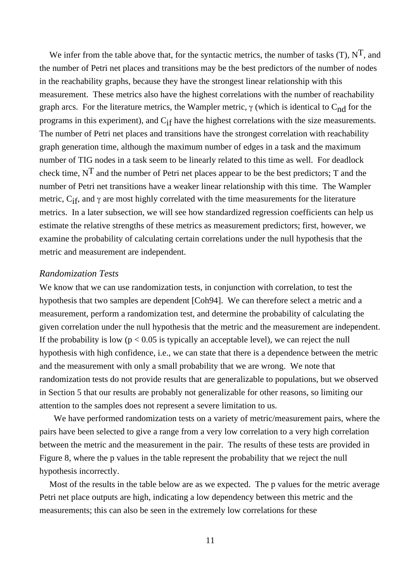We infer from the table above that, for the syntactic metrics, the number of tasks  $(T)$ ,  $N^T$ , and the number of Petri net places and transitions may be the best predictors of the number of nodes in the reachability graphs, because they have the strongest linear relationship with this measurement. These metrics also have the highest correlations with the number of reachability graph arcs. For the literature metrics, the Wampler metric,  $\gamma$  (which is identical to C<sub>nd</sub> for the programs in this experiment), and  $C_i$  have the highest correlations with the size measurements. The number of Petri net places and transitions have the strongest correlation with reachability graph generation time, although the maximum number of edges in a task and the maximum number of TIG nodes in a task seem to be linearly related to this time as well. For deadlock check time,  $N<sup>T</sup>$  and the number of Petri net places appear to be the best predictors; T and the number of Petri net transitions have a weaker linear relationship with this time. The Wampler metric, C<sub>if</sub>, and  $\gamma$  are most highly correlated with the time measurements for the literature metrics. In a later subsection, we will see how standardized regression coefficients can help us estimate the relative strengths of these metrics as measurement predictors; first, however, we examine the probability of calculating certain correlations under the null hypothesis that the metric and measurement are independent.

### *Randomization Tests*

We know that we can use randomization tests, in conjunction with correlation, to test the hypothesis that two samples are dependent [Coh94]. We can therefore select a metric and a measurement, perform a randomization test, and determine the probability of calculating the given correlation under the null hypothesis that the metric and the measurement are independent. If the probability is low ( $p < 0.05$  is typically an acceptable level), we can reject the null hypothesis with high confidence, i.e., we can state that there is a dependence between the metric and the measurement with only a small probability that we are wrong. We note that randomization tests do not provide results that are generalizable to populations, but we observed in Section 5 that our results are probably not generalizable for other reasons, so limiting our attention to the samples does not represent a severe limitation to us.

 We have performed randomization tests on a variety of metric/measurement pairs, where the pairs have been selected to give a range from a very low correlation to a very high correlation between the metric and the measurement in the pair. The results of these tests are provided in Figure 8, where the p values in the table represent the probability that we reject the null hypothesis incorrectly.

Most of the results in the table below are as we expected. The p values for the metric average Petri net place outputs are high, indicating a low dependency between this metric and the measurements; this can also be seen in the extremely low correlations for these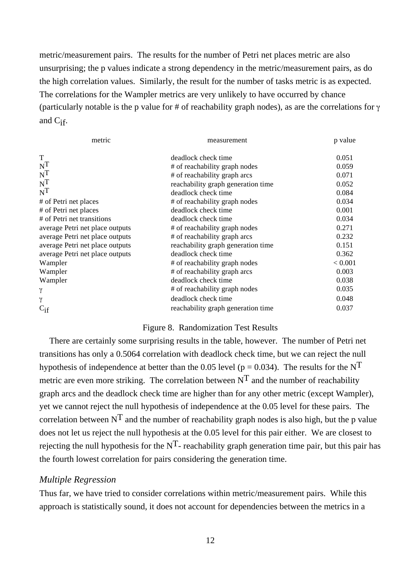metric/measurement pairs. The results for the number of Petri net places metric are also unsurprising; the p values indicate a strong dependency in the metric/measurement pairs, as do the high correlation values. Similarly, the result for the number of tasks metric is as expected. The correlations for the Wampler metrics are very unlikely to have occurred by chance (particularly notable is the p value for # of reachability graph nodes), as are the correlations for γ and Cif.

| metric                          | measurement                        | p value |
|---------------------------------|------------------------------------|---------|
| T                               | deadlock check time                | 0.051   |
| N <sup>T</sup>                  | # of reachability graph nodes      | 0.059   |
| $N^{T}$                         | # of reachability graph arcs       | 0.071   |
| N <sup>T</sup>                  | reachability graph generation time | 0.052   |
| N <sup>T</sup>                  | deadlock check time                | 0.084   |
| # of Petri net places           | # of reachability graph nodes      | 0.034   |
| # of Petri net places           | deadlock check time                | 0.001   |
| # of Petri net transitions      | deadlock check time                | 0.034   |
| average Petri net place outputs | # of reachability graph nodes      | 0.271   |
| average Petri net place outputs | # of reachability graph arcs       | 0.232   |
| average Petri net place outputs | reachability graph generation time | 0.151   |
| average Petri net place outputs | deadlock check time                | 0.362   |
| Wampler                         | # of reachability graph nodes      | < 0.001 |
| Wampler                         | # of reachability graph arcs       | 0.003   |
| Wampler                         | deadlock check time                | 0.038   |
| γ                               | # of reachability graph nodes      | 0.035   |
| γ                               | deadlock check time                | 0.048   |
| $C_{if}$                        | reachability graph generation time | 0.037   |

#### Figure 8. Randomization Test Results

There are certainly some surprising results in the table, however. The number of Petri net transitions has only a 0.5064 correlation with deadlock check time, but we can reject the null hypothesis of independence at better than the 0.05 level ( $p = 0.034$ ). The results for the N<sup>T</sup> metric are even more striking. The correlation between  $N<sup>T</sup>$  and the number of reachability graph arcs and the deadlock check time are higher than for any other metric (except Wampler), yet we cannot reject the null hypothesis of independence at the 0.05 level for these pairs. The correlation between  $N<sup>T</sup>$  and the number of reachability graph nodes is also high, but the p value does not let us reject the null hypothesis at the 0.05 level for this pair either. We are closest to rejecting the null hypothesis for the  $N<sup>T</sup>$ - reachability graph generation time pair, but this pair has the fourth lowest correlation for pairs considering the generation time.

#### *Multiple Regression*

Thus far, we have tried to consider correlations within metric/measurement pairs. While this approach is statistically sound, it does not account for dependencies between the metrics in a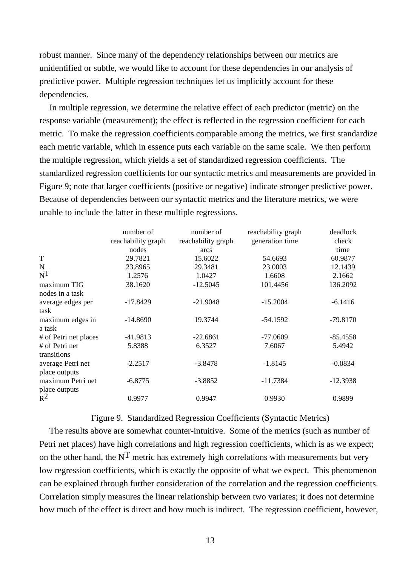robust manner. Since many of the dependency relationships between our metrics are unidentified or subtle, we would like to account for these dependencies in our analysis of predictive power. Multiple regression techniques let us implicitly account for these dependencies.

In multiple regression, we determine the relative effect of each predictor (metric) on the response variable (measurement); the effect is reflected in the regression coefficient for each metric. To make the regression coefficients comparable among the metrics, we first standardize each metric variable, which in essence puts each variable on the same scale. We then perform the multiple regression, which yields a set of standardized regression coefficients. The standardized regression coefficients for our syntactic metrics and measurements are provided in Figure 9; note that larger coefficients (positive or negative) indicate stronger predictive power. Because of dependencies between our syntactic metrics and the literature metrics, we were unable to include the latter in these multiple regressions.

|                                    | number of          | number of          | reachability graph | deadlock   |
|------------------------------------|--------------------|--------------------|--------------------|------------|
|                                    | reachability graph | reachability graph | generation time    | check      |
|                                    | nodes              | arcs               |                    | time       |
| T                                  | 29.7821            | 15.6022            | 54.6693            | 60.9877    |
| N                                  | 23.8965            | 29.3481            | 23.0003            | 12.1439    |
| $N^{T}$                            | 1.2576             | 1.0427             | 1.6608             | 2.1662     |
| maximum TIG<br>nodes in a task     | 38.1620            | $-12.5045$         | 101.4456           | 136.2092   |
| average edges per<br>task          | $-17.8429$         | $-21.9048$         | $-15.2004$         | $-6.1416$  |
| maximum edges in<br>a task         | $-14.8690$         | 19.3744            | $-54.1592$         | $-79.8170$ |
| # of Petri net places              | -41.9813           | $-22.6861$         | $-77.0609$         | $-85.4558$ |
| # of Petri net<br>transitions      | 5.8388             | 6.3527             | 7.6067             | 5.4942     |
| average Petri net<br>place outputs | $-2.2517$          | $-3.8478$          | $-1.8145$          | $-0.0834$  |
| maximum Petri net<br>place outputs | $-6.8775$          | $-3.8852$          | $-11.7384$         | $-12.3938$ |
| $R^2$                              | 0.9977             | 0.9947             | 0.9930             | 0.9899     |

#### Figure 9. Standardized Regression Coefficients (Syntactic Metrics)

The results above are somewhat counter-intuitive. Some of the metrics (such as number of Petri net places) have high correlations and high regression coefficients, which is as we expect; on the other hand, the  $N<sup>T</sup>$  metric has extremely high correlations with measurements but very low regression coefficients, which is exactly the opposite of what we expect. This phenomenon can be explained through further consideration of the correlation and the regression coefficients. Correlation simply measures the linear relationship between two variates; it does not determine how much of the effect is direct and how much is indirect. The regression coefficient, however,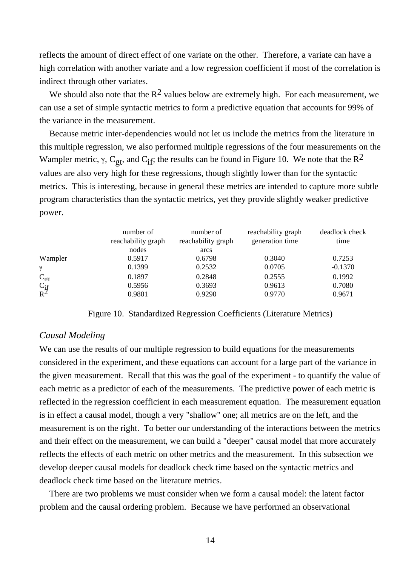reflects the amount of direct effect of one variate on the other. Therefore, a variate can have a high correlation with another variate and a low regression coefficient if most of the correlation is indirect through other variates.

We should also note that the  $R^2$  values below are extremely high. For each measurement, we can use a set of simple syntactic metrics to form a predictive equation that accounts for 99% of the variance in the measurement.

Because metric inter-dependencies would not let us include the metrics from the literature in this multiple regression, we also performed multiple regressions of the four measurements on the Wampler metric,  $\gamma$ , C<sub>gt</sub>, and C<sub>if</sub>; the results can be found in Figure 10. We note that the R<sup>2</sup> values are also very high for these regressions, though slightly lower than for the syntactic metrics. This is interesting, because in general these metrics are intended to capture more subtle program characteristics than the syntactic metrics, yet they provide slightly weaker predictive power.

|                                                              | number of<br>reachability graph | number of<br>reachability graph | reachability graph<br>generation time | deadlock check<br>time |
|--------------------------------------------------------------|---------------------------------|---------------------------------|---------------------------------------|------------------------|
|                                                              | nodes                           | arcs                            |                                       |                        |
| Wampler                                                      | 0.5917                          | 0.6798                          | 0.3040                                | 0.7253                 |
| $\gamma$                                                     | 0.1399                          | 0.2532                          | 0.0705                                | $-0.1370$              |
|                                                              | 0.1897                          | 0.2848                          | 0.2555                                | 0.1992                 |
| $\begin{array}{c} C_{\sigma f} \\ C_{if} \\ R^2 \end{array}$ | 0.5956                          | 0.3693                          | 0.9613                                | 0.7080                 |
|                                                              | 0.9801                          | 0.9290                          | 0.9770                                | 0.9671                 |

Figure 10. Standardized Regression Coefficients (Literature Metrics)

#### *Causal Modeling*

We can use the results of our multiple regression to build equations for the measurements considered in the experiment, and these equations can account for a large part of the variance in the given measurement. Recall that this was the goal of the experiment - to quantify the value of each metric as a predictor of each of the measurements. The predictive power of each metric is reflected in the regression coefficient in each measurement equation. The measurement equation is in effect a causal model, though a very "shallow" one; all metrics are on the left, and the measurement is on the right. To better our understanding of the interactions between the metrics and their effect on the measurement, we can build a "deeper" causal model that more accurately reflects the effects of each metric on other metrics and the measurement. In this subsection we develop deeper causal models for deadlock check time based on the syntactic metrics and deadlock check time based on the literature metrics.

There are two problems we must consider when we form a causal model: the latent factor problem and the causal ordering problem. Because we have performed an observational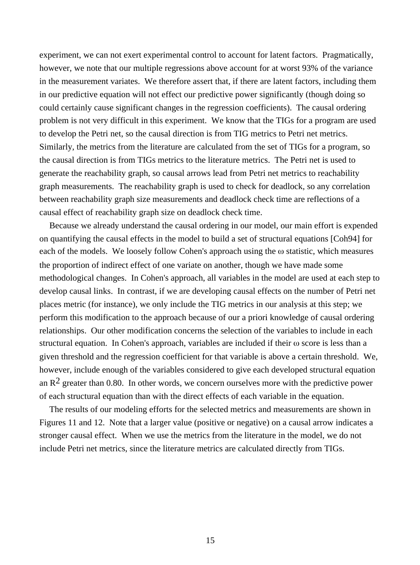experiment, we can not exert experimental control to account for latent factors. Pragmatically, however, we note that our multiple regressions above account for at worst 93% of the variance in the measurement variates. We therefore assert that, if there are latent factors, including them in our predictive equation will not effect our predictive power significantly (though doing so could certainly cause significant changes in the regression coefficients). The causal ordering problem is not very difficult in this experiment. We know that the TIGs for a program are used to develop the Petri net, so the causal direction is from TIG metrics to Petri net metrics. Similarly, the metrics from the literature are calculated from the set of TIGs for a program, so the causal direction is from TIGs metrics to the literature metrics. The Petri net is used to generate the reachability graph, so causal arrows lead from Petri net metrics to reachability graph measurements. The reachability graph is used to check for deadlock, so any correlation between reachability graph size measurements and deadlock check time are reflections of a causal effect of reachability graph size on deadlock check time.

Because we already understand the causal ordering in our model, our main effort is expended on quantifying the causal effects in the model to build a set of structural equations [Coh94] for each of the models. We loosely follow Cohen's approach using the  $\omega$  statistic, which measures the proportion of indirect effect of one variate on another, though we have made some methodological changes. In Cohen's approach, all variables in the model are used at each step to develop causal links. In contrast, if we are developing causal effects on the number of Petri net places metric (for instance), we only include the TIG metrics in our analysis at this step; we perform this modification to the approach because of our a priori knowledge of causal ordering relationships. Our other modification concerns the selection of the variables to include in each structural equation. In Cohen's approach, variables are included if their  $\omega$  score is less than a given threshold and the regression coefficient for that variable is above a certain threshold. We, however, include enough of the variables considered to give each developed structural equation an  $R^2$  greater than 0.80. In other words, we concern ourselves more with the predictive power of each structural equation than with the direct effects of each variable in the equation.

The results of our modeling efforts for the selected metrics and measurements are shown in Figures 11 and 12. Note that a larger value (positive or negative) on a causal arrow indicates a stronger causal effect. When we use the metrics from the literature in the model, we do not include Petri net metrics, since the literature metrics are calculated directly from TIGs.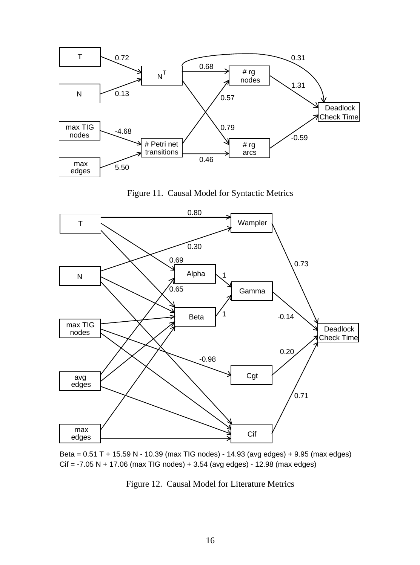

Figure 11. Causal Model for Syntactic Metrics



Beta = 0.51 T + 15.59 N - 10.39 (max TIG nodes) - 14.93 (avg edges) + 9.95 (max edges) Cif = -7.05 N + 17.06 (max TIG nodes) + 3.54 (avg edges) - 12.98 (max edges)

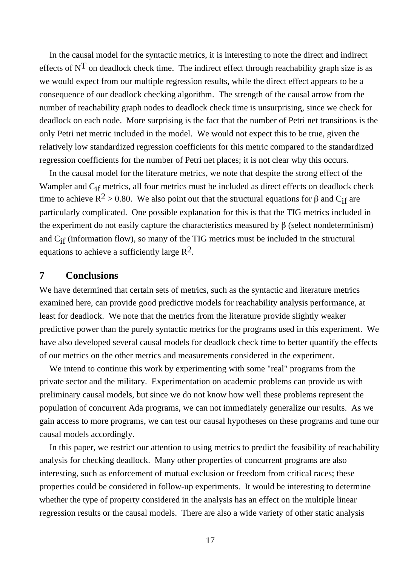In the causal model for the syntactic metrics, it is interesting to note the direct and indirect effects of  $N<sup>T</sup>$  on deadlock check time. The indirect effect through reachability graph size is as we would expect from our multiple regression results, while the direct effect appears to be a consequence of our deadlock checking algorithm. The strength of the causal arrow from the number of reachability graph nodes to deadlock check time is unsurprising, since we check for deadlock on each node. More surprising is the fact that the number of Petri net transitions is the only Petri net metric included in the model. We would not expect this to be true, given the relatively low standardized regression coefficients for this metric compared to the standardized regression coefficients for the number of Petri net places; it is not clear why this occurs.

In the causal model for the literature metrics, we note that despite the strong effect of the Wampler and C<sub>if</sub> metrics, all four metrics must be included as direct effects on deadlock check time to achieve  $R^2 > 0.80$ . We also point out that the structural equations for  $\beta$  and C<sub>if</sub> are particularly complicated. One possible explanation for this is that the TIG metrics included in the experiment do not easily capture the characteristics measured by  $\beta$  (select nondeterminism) and  $C<sub>if</sub>$  (information flow), so many of the TIG metrics must be included in the structural equations to achieve a sufficiently large  $\mathbb{R}^2$ .

### **7 Conclusions**

We have determined that certain sets of metrics, such as the syntactic and literature metrics examined here, can provide good predictive models for reachability analysis performance, at least for deadlock. We note that the metrics from the literature provide slightly weaker predictive power than the purely syntactic metrics for the programs used in this experiment. We have also developed several causal models for deadlock check time to better quantify the effects of our metrics on the other metrics and measurements considered in the experiment.

We intend to continue this work by experimenting with some "real" programs from the private sector and the military. Experimentation on academic problems can provide us with preliminary causal models, but since we do not know how well these problems represent the population of concurrent Ada programs, we can not immediately generalize our results. As we gain access to more programs, we can test our causal hypotheses on these programs and tune our causal models accordingly.

In this paper, we restrict our attention to using metrics to predict the feasibility of reachability analysis for checking deadlock. Many other properties of concurrent programs are also interesting, such as enforcement of mutual exclusion or freedom from critical races; these properties could be considered in follow-up experiments. It would be interesting to determine whether the type of property considered in the analysis has an effect on the multiple linear regression results or the causal models. There are also a wide variety of other static analysis